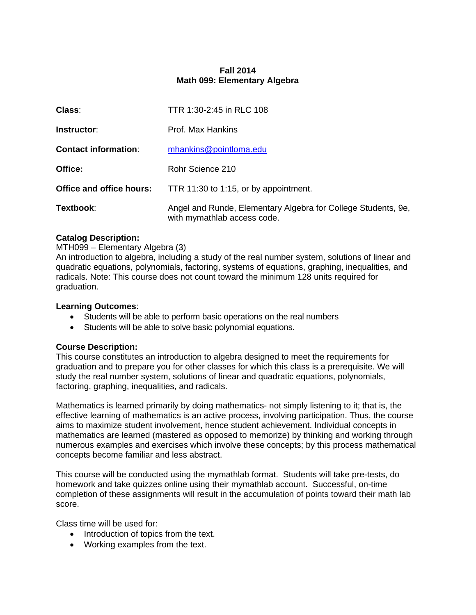## **Fall 2014 Math 099: Elementary Algebra**

| Class:                      | TTR 1:30-2:45 in RLC 108                                                                     |  |  |
|-----------------------------|----------------------------------------------------------------------------------------------|--|--|
| Instructor:                 | Prof. Max Hankins                                                                            |  |  |
| <b>Contact information:</b> | mhankins@pointloma.edu                                                                       |  |  |
| Office:                     | Rohr Science 210                                                                             |  |  |
| Office and office hours:    | TTR 11:30 to 1:15, or by appointment.                                                        |  |  |
| Textbook:                   | Angel and Runde, Elementary Algebra for College Students, 9e,<br>with mymathlab access code. |  |  |

## **Catalog Description:**

## MTH099 – Elementary Algebra (3)

An introduction to algebra, including a study of the real number system, solutions of linear and quadratic equations, polynomials, factoring, systems of equations, graphing, inequalities, and radicals. Note: This course does not count toward the minimum 128 units required for graduation.

## **Learning Outcomes**:

- Students will be able to perform basic operations on the real numbers
- Students will be able to solve basic polynomial equations.

#### **Course Description:**

This course constitutes an introduction to algebra designed to meet the requirements for graduation and to prepare you for other classes for which this class is a prerequisite. We will study the real number system, solutions of linear and quadratic equations, polynomials, factoring, graphing, inequalities, and radicals.

Mathematics is learned primarily by doing mathematics- not simply listening to it; that is, the effective learning of mathematics is an active process, involving participation. Thus, the course aims to maximize student involvement, hence student achievement. Individual concepts in mathematics are learned (mastered as opposed to memorize) by thinking and working through numerous examples and exercises which involve these concepts; by this process mathematical concepts become familiar and less abstract.

This course will be conducted using the mymathlab format. Students will take pre-tests, do homework and take quizzes online using their mymathlab account. Successful, on-time completion of these assignments will result in the accumulation of points toward their math lab score.

Class time will be used for:

- Introduction of topics from the text.
- Working examples from the text.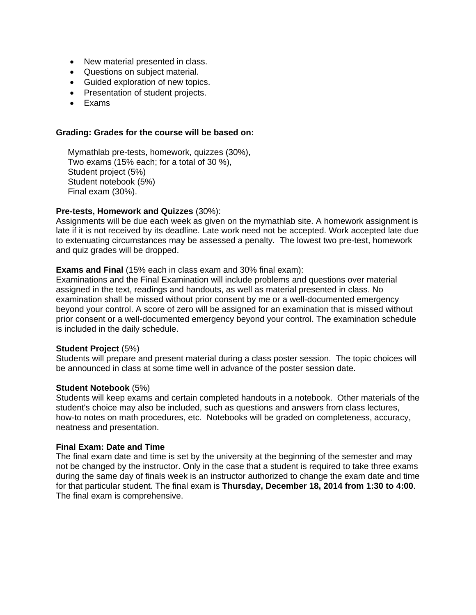- New material presented in class.
- Questions on subject material.
- Guided exploration of new topics.
- Presentation of student projects.
- Exams

### **Grading: Grades for the course will be based on:**

 Mymathlab pre-tests, homework, quizzes (30%), Two exams (15% each; for a total of 30 %), Student project (5%) Student notebook (5%) Final exam (30%).

## **Pre-tests, Homework and Quizzes** (30%):

Assignments will be due each week as given on the mymathlab site. A homework assignment is late if it is not received by its deadline. Late work need not be accepted. Work accepted late due to extenuating circumstances may be assessed a penalty. The lowest two pre-test, homework and quiz grades will be dropped.

## **Exams and Final** (15% each in class exam and 30% final exam):

Examinations and the Final Examination will include problems and questions over material assigned in the text, readings and handouts, as well as material presented in class. No examination shall be missed without prior consent by me or a well-documented emergency beyond your control. A score of zero will be assigned for an examination that is missed without prior consent or a well-documented emergency beyond your control. The examination schedule is included in the daily schedule.

#### **Student Project** (5%)

Students will prepare and present material during a class poster session. The topic choices will be announced in class at some time well in advance of the poster session date.

#### **Student Notebook** (5%)

Students will keep exams and certain completed handouts in a notebook. Other materials of the student's choice may also be included, such as questions and answers from class lectures, how-to notes on math procedures, etc. Notebooks will be graded on completeness, accuracy, neatness and presentation.

#### **Final Exam: Date and Time**

The final exam date and time is set by the university at the beginning of the semester and may not be changed by the instructor. Only in the case that a student is required to take three exams during the same day of finals week is an instructor authorized to change the exam date and time for that particular student. The final exam is **Thursday, December 18, 2014 from 1:30 to 4:00**. The final exam is comprehensive.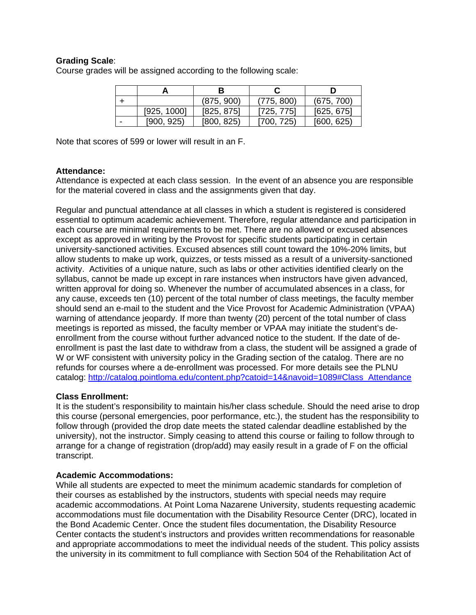## **Grading Scale**:

Course grades will be assigned according to the following scale:

|   |             | В          |            |            |  |
|---|-------------|------------|------------|------------|--|
|   |             | (875, 900) | (775, 800) | (675, 700) |  |
|   | [925, 1000] | [825, 875] | [725, 775] | [625, 675] |  |
| - | [900, 925]  | [800, 825] | [700, 725) | [600, 625] |  |

Note that scores of 599 or lower will result in an F.

#### **Attendance:**

Attendance is expected at each class session. In the event of an absence you are responsible for the material covered in class and the assignments given that day.

Regular and punctual attendance at all classes in which a student is registered is considered essential to optimum academic achievement. Therefore, regular attendance and participation in each course are minimal requirements to be met. There are no allowed or excused absences except as approved in writing by the Provost for specific students participating in certain university-sanctioned activities. Excused absences still count toward the 10%-20% limits, but allow students to make up work, quizzes, or tests missed as a result of a university-sanctioned activity. Activities of a unique nature, such as labs or other activities identified clearly on the syllabus, cannot be made up except in rare instances when instructors have given advanced, written approval for doing so. Whenever the number of accumulated absences in a class, for any cause, exceeds ten (10) percent of the total number of class meetings, the faculty member should send an e-mail to the student and the Vice Provost for Academic Administration (VPAA) warning of attendance jeopardy. If more than twenty (20) percent of the total number of class meetings is reported as missed, the faculty member or VPAA may initiate the student's deenrollment from the course without further advanced notice to the student. If the date of deenrollment is past the last date to withdraw from a class, the student will be assigned a grade of W or WF consistent with university policy in the Grading section of the catalog. There are no refunds for courses where a de-enrollment was processed. For more details see the PLNU catalog: http://catalog.pointloma.edu/content.php?catoid=14&navoid=1089#Class\_Attendance

## **Class Enrollment:**

It is the student's responsibility to maintain his/her class schedule. Should the need arise to drop this course (personal emergencies, poor performance, etc.), the student has the responsibility to follow through (provided the drop date meets the stated calendar deadline established by the university), not the instructor. Simply ceasing to attend this course or failing to follow through to arrange for a change of registration (drop/add) may easily result in a grade of F on the official transcript.

#### **Academic Accommodations:**

While all students are expected to meet the minimum academic standards for completion of their courses as established by the instructors, students with special needs may require academic accommodations. At Point Loma Nazarene University, students requesting academic accommodations must file documentation with the Disability Resource Center (DRC), located in the Bond Academic Center. Once the student files documentation, the Disability Resource Center contacts the student's instructors and provides written recommendations for reasonable and appropriate accommodations to meet the individual needs of the student. This policy assists the university in its commitment to full compliance with Section 504 of the Rehabilitation Act of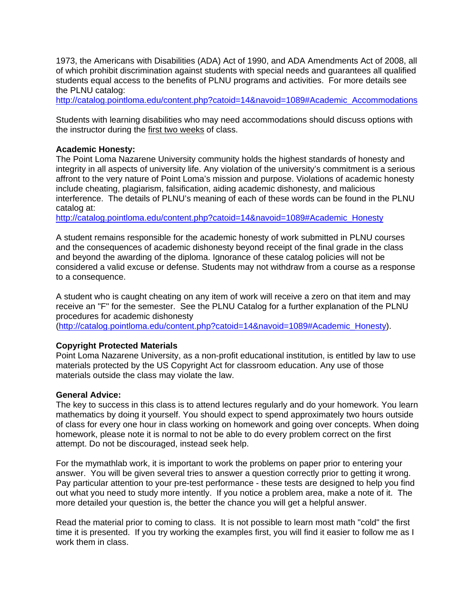1973, the Americans with Disabilities (ADA) Act of 1990, and ADA Amendments Act of 2008, all of which prohibit discrimination against students with special needs and guarantees all qualified students equal access to the benefits of PLNU programs and activities. For more details see the PLNU catalog:

http://catalog.pointloma.edu/content.php?catoid=14&navoid=1089#Academic\_Accommodations

Students with learning disabilities who may need accommodations should discuss options with the instructor during the first two weeks of class.

#### **Academic Honesty:**

The Point Loma Nazarene University community holds the highest standards of honesty and integrity in all aspects of university life. Any violation of the university's commitment is a serious affront to the very nature of Point Loma's mission and purpose. Violations of academic honesty include cheating, plagiarism, falsification, aiding academic dishonesty, and malicious interference. The details of PLNU's meaning of each of these words can be found in the PLNU catalog at:

http://catalog.pointloma.edu/content.php?catoid=14&navoid=1089#Academic\_Honesty

A student remains responsible for the academic honesty of work submitted in PLNU courses and the consequences of academic dishonesty beyond receipt of the final grade in the class and beyond the awarding of the diploma. Ignorance of these catalog policies will not be considered a valid excuse or defense. Students may not withdraw from a course as a response to a consequence.

A student who is caught cheating on any item of work will receive a zero on that item and may receive an "F" for the semester. See the PLNU Catalog for a further explanation of the PLNU procedures for academic dishonesty

(http://catalog.pointloma.edu/content.php?catoid=14&navoid=1089#Academic\_Honesty).

#### **Copyright Protected Materials**

Point Loma Nazarene University, as a non-profit educational institution, is entitled by law to use materials protected by the US Copyright Act for classroom education. Any use of those materials outside the class may violate the law.

#### **General Advice:**

The key to success in this class is to attend lectures regularly and do your homework. You learn mathematics by doing it yourself. You should expect to spend approximately two hours outside of class for every one hour in class working on homework and going over concepts. When doing homework, please note it is normal to not be able to do every problem correct on the first attempt. Do not be discouraged, instead seek help.

For the mymathlab work, it is important to work the problems on paper prior to entering your answer. You will be given several tries to answer a question correctly prior to getting it wrong. Pay particular attention to your pre-test performance - these tests are designed to help you find out what you need to study more intently. If you notice a problem area, make a note of it. The more detailed your question is, the better the chance you will get a helpful answer.

Read the material prior to coming to class. It is not possible to learn most math "cold" the first time it is presented. If you try working the examples first, you will find it easier to follow me as I work them in class.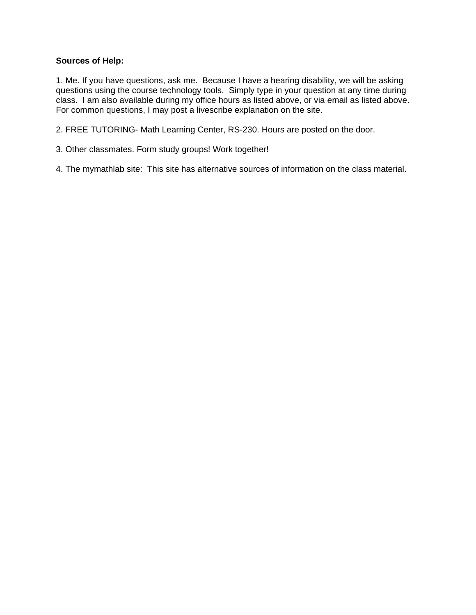## **Sources of Help:**

1. Me. If you have questions, ask me. Because I have a hearing disability, we will be asking questions using the course technology tools. Simply type in your question at any time during class. I am also available during my office hours as listed above, or via email as listed above. For common questions, I may post a livescribe explanation on the site.

2. FREE TUTORING- Math Learning Center, RS-230. Hours are posted on the door.

3. Other classmates. Form study groups! Work together!

4. The mymathlab site: This site has alternative sources of information on the class material.